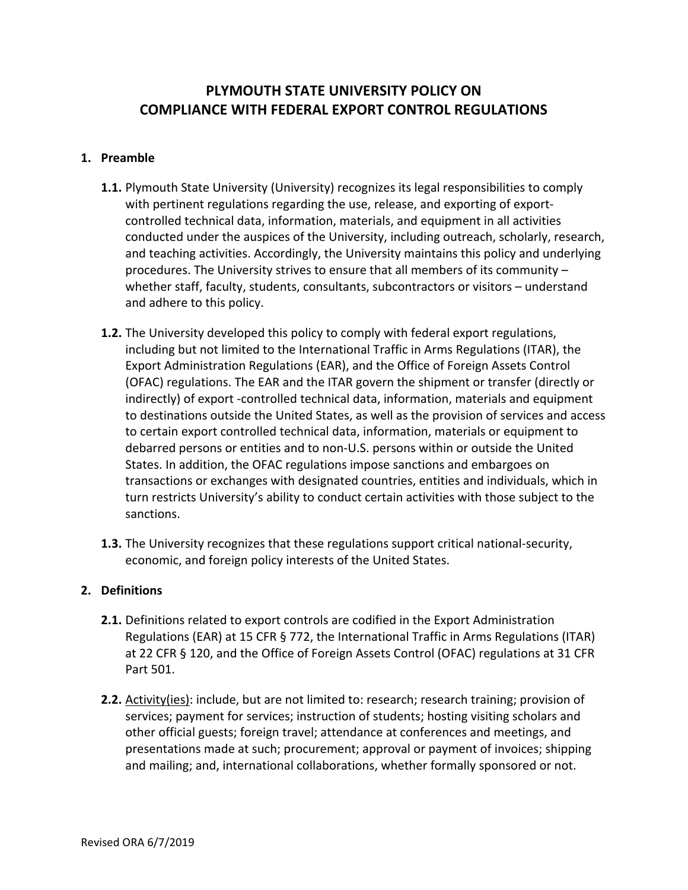# **PLYMOUTH STATE UNIVERSITY POLICY ON COMPLIANCE WITH FEDERAL EXPORT CONTROL REGULATIONS**

#### **1. Preamble**

- **1.1.** Plymouth State University (University) recognizes its legal responsibilities to comply with pertinent regulations regarding the use, release, and exporting of exportcontrolled technical data, information, materials, and equipment in all activities conducted under the auspices of the University, including outreach, scholarly, research, and teaching activities. Accordingly, the University maintains this policy and underlying procedures. The University strives to ensure that all members of its community – whether staff, faculty, students, consultants, subcontractors or visitors – understand and adhere to this policy.
- **1.2.** The University developed this policy to comply with federal export regulations, including but not limited to the International Traffic in Arms Regulations (ITAR), the Export Administration Regulations (EAR), and the Office of Foreign Assets Control (OFAC) regulations. The EAR and the ITAR govern the shipment or transfer (directly or indirectly) of export ‐controlled technical data, information, materials and equipment to destinations outside the United States, as well as the provision of services and access to certain export controlled technical data, information, materials or equipment to debarred persons or entities and to non‐U.S. persons within or outside the United States. In addition, the OFAC regulations impose sanctions and embargoes on transactions or exchanges with designated countries, entities and individuals, which in turn restricts University's ability to conduct certain activities with those subject to the sanctions.
- **1.3.** The University recognizes that these regulations support critical national‐security, economic, and foreign policy interests of the United States.

## **2. Definitions**

- **2.1.** Definitions related to export controls are codified in the Export Administration Regulations (EAR) at 15 CFR § 772, the International Traffic in Arms Regulations (ITAR) at 22 CFR § 120, and the Office of Foreign Assets Control (OFAC) regulations at 31 CFR Part 501.
- **2.2.** Activity(ies): include, but are not limited to: research; research training; provision of services; payment for services; instruction of students; hosting visiting scholars and other official guests; foreign travel; attendance at conferences and meetings, and presentations made at such; procurement; approval or payment of invoices; shipping and mailing; and, international collaborations, whether formally sponsored or not.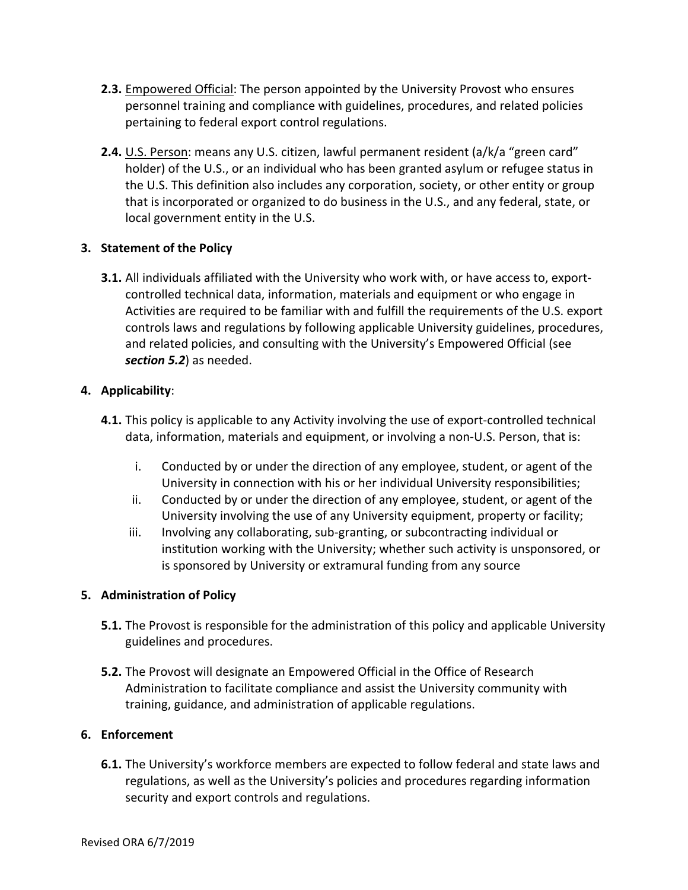- **2.3.** Empowered Official: The person appointed by the University Provost who ensures personnel training and compliance with guidelines, procedures, and related policies pertaining to federal export control regulations.
- **2.4.** U.S. Person: means any U.S. citizen, lawful permanent resident (a/k/a "green card" holder) of the U.S., or an individual who has been granted asylum or refugee status in the U.S. This definition also includes any corporation, society, or other entity or group that is incorporated or organized to do business in the U.S., and any federal, state, or local government entity in the U.S.

## **3. Statement of the Policy**

**3.1.** All individuals affiliated with the University who work with, or have access to, export‐ controlled technical data, information, materials and equipment or who engage in Activities are required to be familiar with and fulfill the requirements of the U.S. export controls laws and regulations by following applicable University guidelines, procedures, and related policies, and consulting with the University's Empowered Official (see *section 5.2*) as needed.

## **4. Applicability**:

- **4.1.** This policy is applicable to any Activity involving the use of export-controlled technical data, information, materials and equipment, or involving a non‐U.S. Person, that is:
	- i. Conducted by or under the direction of any employee, student, or agent of the University in connection with his or her individual University responsibilities;
	- ii. Conducted by or under the direction of any employee, student, or agent of the University involving the use of any University equipment, property or facility;
	- iii. Involving any collaborating, sub‐granting, or subcontracting individual or institution working with the University; whether such activity is unsponsored, or is sponsored by University or extramural funding from any source

## **5. Administration of Policy**

- **5.1.** The Provost is responsible for the administration of this policy and applicable University guidelines and procedures.
- **5.2.** The Provost will designate an Empowered Official in the Office of Research Administration to facilitate compliance and assist the University community with training, guidance, and administration of applicable regulations.

## **6. Enforcement**

**6.1.** The University's workforce members are expected to follow federal and state laws and regulations, as well as the University's policies and procedures regarding information security and export controls and regulations.